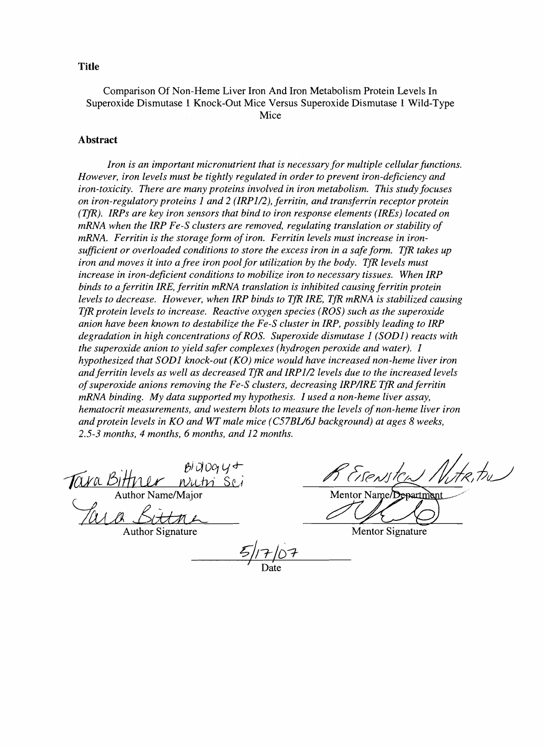#### **Title**

Comparison Of Non-Heme Liver Iron And Iron Metabolism Protein Levels In Superoxide Dismutase 1 Knock-Out Mice Versus Superoxide Dismutase 1 Wild-Type Mice

#### **Abstract**

*Iron is an important micronutrient that is necessary for multiple cellular functions. However, iron levels must be tightly regulated in order to prevent iron-deficiency and iron-toxicity. There are many proteins involved in iron metabolism. This study focuses on iron-regulatory proteins* 1 *and* 2 *(IRP112), ferritin, and transferrin receptor protein (TfR). IRPs are key iron sensors that bind to iron response elements (IREs) located on mRNA when the IRP Fe-S clusters are removed, regulating translation or stability of mRNA. Ferritin is the storage form of iron. Ferritin levels must increase in ironsufficient or overloaded conditions to store the excess iron in a safe form. TfR takes up iron and moves it into a free iron pool for utilization by the body. TfR levels must increase in iron-deficient conditions to mobilize iron to necessary tissues. When IRP binds to a ferritin IRE, ferritin mRNA translation is inhibited causing ferritin protein levels to decrease. However, when IRP binds to TfR IRE, TfR mRNA is stabilized causing TfR protein levels to increase. Reactive oxygen species (ROS) such as the superoxide anion have been known to destabilize the F'e-S cluster in IRP, possibly leading to IRP degradation in high concentrations ofROS. Superoxide dismutase* 1 *(SOD1) reacts with the superoxide anion to yield safer complexes (hydrogen peroxide and water). I hypothesized that SOD1 knock-out (KO) mice would have increased non-heme liver iron and ferritin levels as well as decreased TfR and IRP112 levels due to the increased levels ofsuperoxide anions removing the Fe-S clusters, decreasing IRPIIRE TfR and ferritin mRNA binding. My data supported my hypothesis. I used a non-heme liver assay, hematocrit measurements, and western blots to measure the levels of non-heme liver iron and protein levels in KO and WT male mice (C57BU61 background) at ages* 8 *weeks, 2.5-3 months,* 4 *months,* 6 *months, and* 12 *months.* 

*<i>B*JD $\alpha$ 4+  $muthi$  Sc Author Name/Major

*Jara Bittne* 

Author Signature

Mentor Name/Dr epartment

Mentor Signature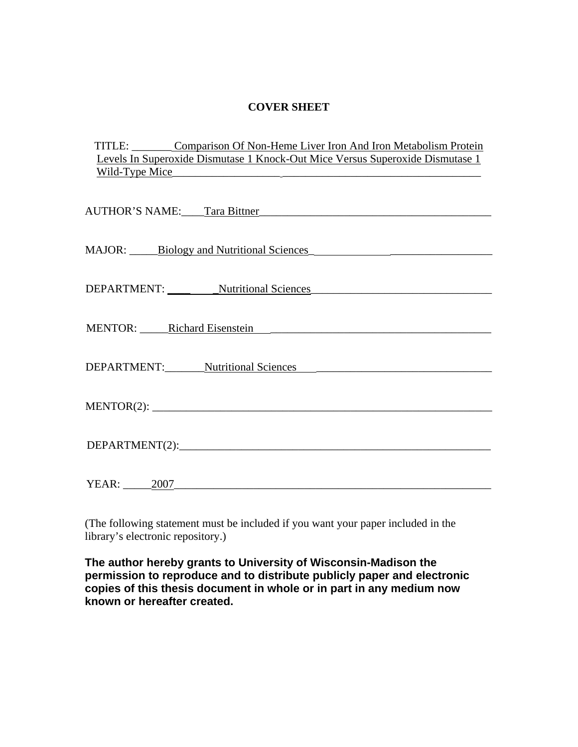## **COVER SHEET**

| TITLE:         | Comparison Of Non-Heme Liver Iron And Iron Metabolism Protein                 |
|----------------|-------------------------------------------------------------------------------|
|                | Levels In Superoxide Dismutase 1 Knock-Out Mice Versus Superoxide Dismutase 1 |
| Wild-Type Mice |                                                                               |

| AUTHOR'S NAME: Tara Bittner Tara Communication of the UTHOR'S NAME: |  |  |  |  |  |
|---------------------------------------------------------------------|--|--|--|--|--|
|                                                                     |  |  |  |  |  |
| MAJOR: Biology and Nutritional Sciences                             |  |  |  |  |  |
| DEPARTMENT: Nutritional Sciences                                    |  |  |  |  |  |
|                                                                     |  |  |  |  |  |
| MENTOR: Richard Eisenstein<br>NENTOR: Richard Eisenstein            |  |  |  |  |  |
| DEPARTMENT: Nutritional Sciences                                    |  |  |  |  |  |
|                                                                     |  |  |  |  |  |
| DEPARTIMENT(2):                                                     |  |  |  |  |  |
|                                                                     |  |  |  |  |  |
| YEAR: 2007                                                          |  |  |  |  |  |

(The following statement must be included if you want your paper included in the library's electronic repository.)

**The author hereby grants to University of Wisconsin-Madison the permission to reproduce and to distribute publicly paper and electronic copies of this thesis document in whole or in part in any medium now known or hereafter created.**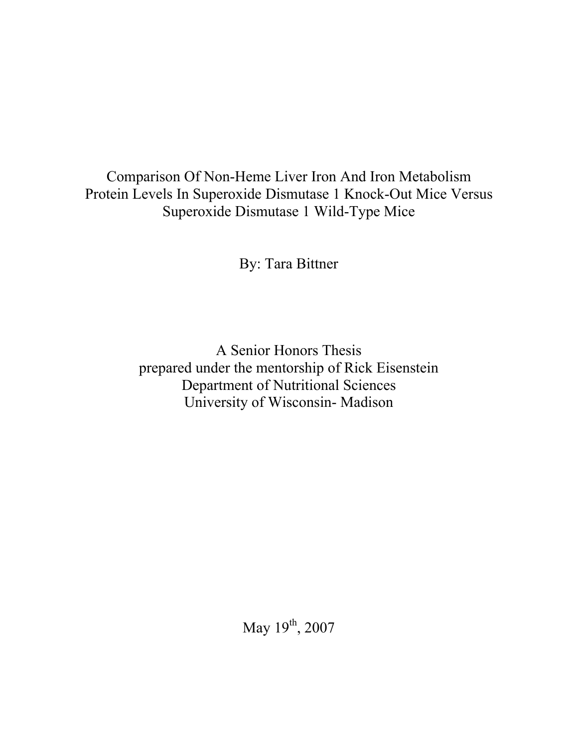Comparison Of Non-Heme Liver Iron And Iron Metabolism Protein Levels In Superoxide Dismutase 1 Knock-Out Mice Versus Superoxide Dismutase 1 Wild-Type Mice

By: Tara Bittner

A Senior Honors Thesis prepared under the mentorship of Rick Eisenstein Department of Nutritional Sciences University of Wisconsin- Madison

May 19<sup>th</sup>, 2007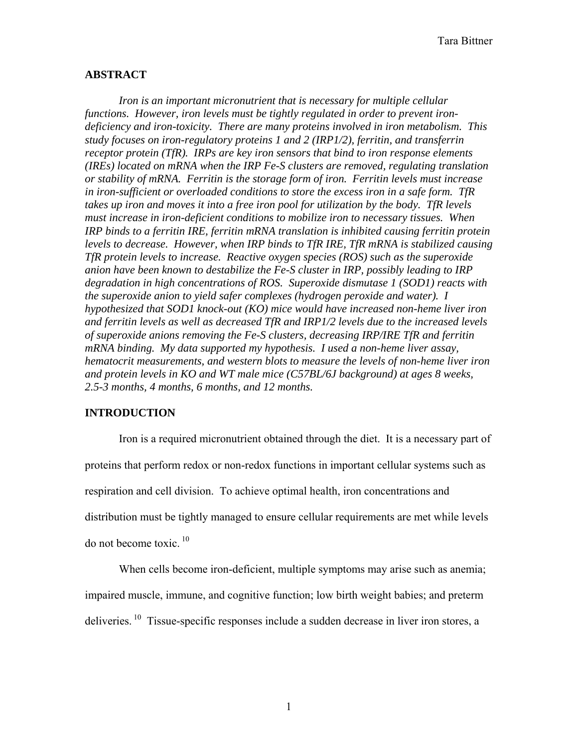## **ABSTRACT**

 *Iron is an important micronutrient that is necessary for multiple cellular functions. However, iron levels must be tightly regulated in order to prevent irondeficiency and iron-toxicity. There are many proteins involved in iron metabolism. This study focuses on iron-regulatory proteins 1 and 2 (IRP1/2), ferritin, and transferrin receptor protein (TfR). IRPs are key iron sensors that bind to iron response elements (IREs) located on mRNA when the IRP Fe-S clusters are removed, regulating translation or stability of mRNA. Ferritin is the storage form of iron. Ferritin levels must increase in iron-sufficient or overloaded conditions to store the excess iron in a safe form. TfR takes up iron and moves it into a free iron pool for utilization by the body. TfR levels must increase in iron-deficient conditions to mobilize iron to necessary tissues. When IRP binds to a ferritin IRE, ferritin mRNA translation is inhibited causing ferritin protein levels to decrease. However, when IRP binds to TfR IRE, TfR mRNA is stabilized causing TfR protein levels to increase. Reactive oxygen species (ROS) such as the superoxide anion have been known to destabilize the Fe-S cluster in IRP, possibly leading to IRP degradation in high concentrations of ROS. Superoxide dismutase 1 (SOD1) reacts with the superoxide anion to yield safer complexes (hydrogen peroxide and water). I hypothesized that SOD1 knock-out (KO) mice would have increased non-heme liver iron and ferritin levels as well as decreased TfR and IRP1/2 levels due to the increased levels of superoxide anions removing the Fe-S clusters, decreasing IRP/IRE TfR and ferritin mRNA binding. My data supported my hypothesis. I used a non-heme liver assay, hematocrit measurements, and western blots to measure the levels of non-heme liver iron and protein levels in KO and WT male mice (C57BL/6J background) at ages 8 weeks, 2.5-3 months, 4 months, 6 months, and 12 months.* 

## **INTRODUCTION**

 Iron is a required micronutrient obtained through the diet. It is a necessary part of proteins that perform redox or non-redox functions in important cellular systems such as respiration and cell division. To achieve optimal health, iron concentrations and distribution must be tightly managed to ensure cellular requirements are met while levels do not become toxic.  $10$ 

 When cells become iron-deficient, multiple symptoms may arise such as anemia; impaired muscle, immune, and cognitive function; low birth weight babies; and preterm deliveries.  $^{10}$  Tissue-specific responses include a sudden decrease in liver iron stores, a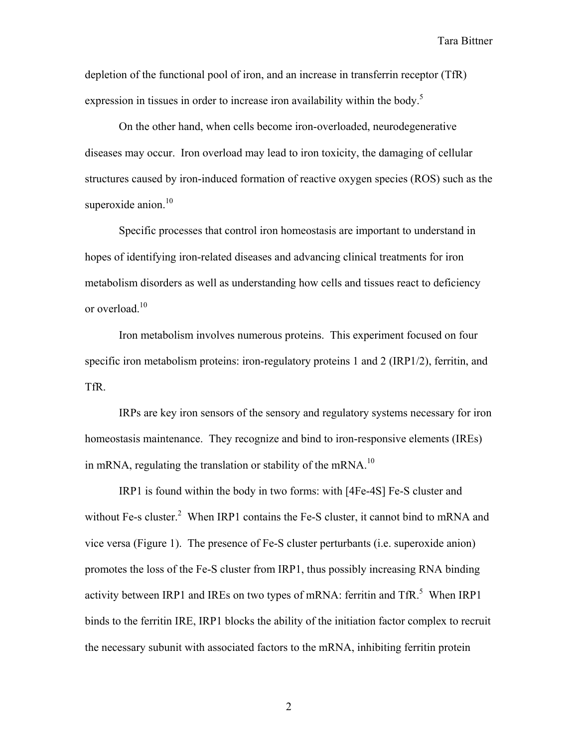depletion of the functional pool of iron, and an increase in transferrin receptor (TfR) expression in tissues in order to increase iron availability within the body.<sup>5</sup>

 On the other hand, when cells become iron-overloaded, neurodegenerative diseases may occur. Iron overload may lead to iron toxicity, the damaging of cellular structures caused by iron-induced formation of reactive oxygen species (ROS) such as the superoxide anion.<sup>10</sup>

 Specific processes that control iron homeostasis are important to understand in hopes of identifying iron-related diseases and advancing clinical treatments for iron metabolism disorders as well as understanding how cells and tissues react to deficiency or overload.<sup>10</sup>

 Iron metabolism involves numerous proteins. This experiment focused on four specific iron metabolism proteins: iron-regulatory proteins 1 and 2 (IRP1/2), ferritin, and TfR.

 IRPs are key iron sensors of the sensory and regulatory systems necessary for iron homeostasis maintenance. They recognize and bind to iron-responsive elements (IREs) in mRNA, regulating the translation or stability of the mRNA.<sup>10</sup>

 IRP1 is found within the body in two forms: with [4Fe-4S] Fe-S cluster and without Fe-s cluster.<sup>2</sup> When IRP1 contains the Fe-S cluster, it cannot bind to mRNA and vice versa (Figure 1). The presence of Fe-S cluster perturbants (i.e. superoxide anion) promotes the loss of the Fe-S cluster from IRP1, thus possibly increasing RNA binding activity between IRP1 and IREs on two types of mRNA: ferritin and  $TfR$ <sup>5</sup>. When IRP1 binds to the ferritin IRE, IRP1 blocks the ability of the initiation factor complex to recruit the necessary subunit with associated factors to the mRNA, inhibiting ferritin protein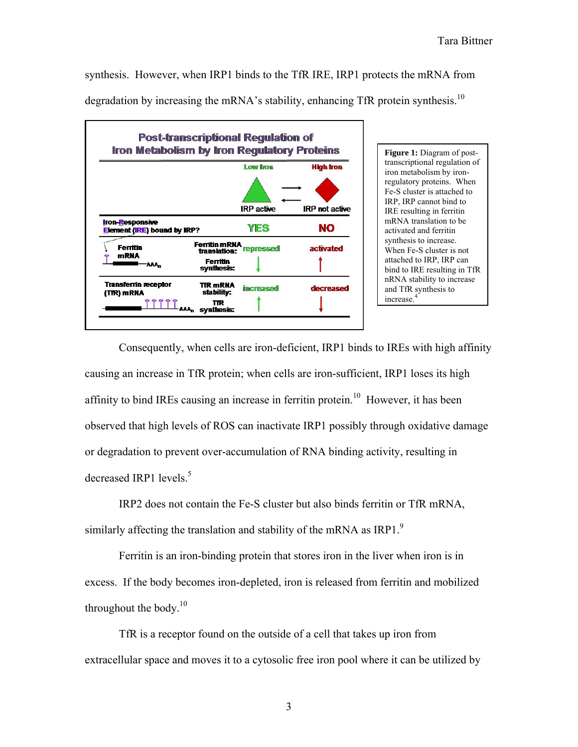synthesis. However, when IRP1 binds to the TfR IRE, IRP1 protects the mRNA from

degradation by increasing the mRNA's stability, enhancing TfR protein synthesis.<sup>10</sup>



regulatory proteins. When Fe-S cluster is attached to IRP, IRP cannot bind to IRE resulting in ferritin mRNA translation to be activated and ferritin synthesis to increase. When Fe-S cluster is not attached to IRP, IRP can bind to IRE resulting in TfR nRNA stability to increase and TfR synthesis to

 Consequently, when cells are iron-deficient, IRP1 binds to IREs with high affinity causing an increase in TfR protein; when cells are iron-sufficient, IRP1 loses its high affinity to bind IREs causing an increase in ferritin protein.<sup>10</sup> However, it has been observed that high levels of ROS can inactivate IRP1 possibly through oxidative damage or degradation to prevent over-accumulation of RNA binding activity, resulting in decreased IRP1 levels. $5$ 

 IRP2 does not contain the Fe-S cluster but also binds ferritin or TfR mRNA, similarly affecting the translation and stability of the mRNA as IRP1. $\degree$ 

 Ferritin is an iron-binding protein that stores iron in the liver when iron is in excess. If the body becomes iron-depleted, iron is released from ferritin and mobilized throughout the body.<sup>10</sup>

 TfR is a receptor found on the outside of a cell that takes up iron from extracellular space and moves it to a cytosolic free iron pool where it can be utilized by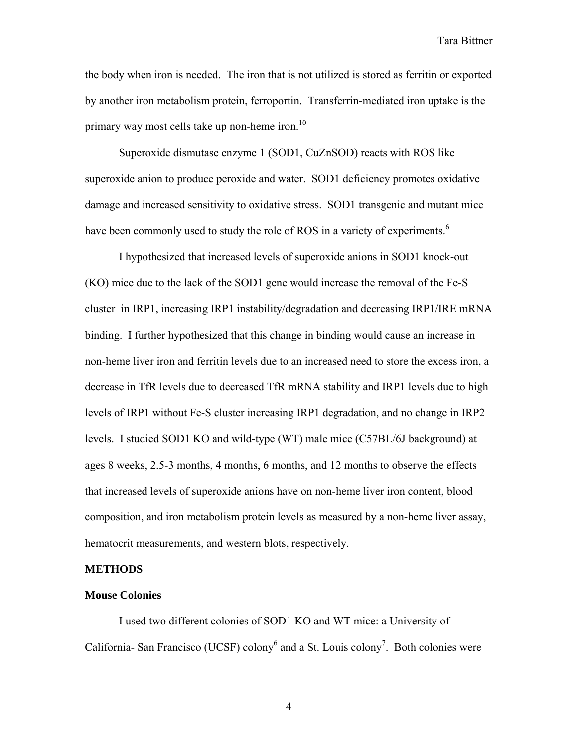the body when iron is needed. The iron that is not utilized is stored as ferritin or exported by another iron metabolism protein, ferroportin. Transferrin-mediated iron uptake is the primary way most cells take up non-heme iron. $10$ 

 Superoxide dismutase enzyme 1 (SOD1, CuZnSOD) reacts with ROS like superoxide anion to produce peroxide and water. SOD1 deficiency promotes oxidative damage and increased sensitivity to oxidative stress. SOD1 transgenic and mutant mice have been commonly used to study the role of ROS in a variety of experiments.<sup>6</sup>

I hypothesized that increased levels of superoxide anions in SOD1 knock-out (KO) mice due to the lack of the SOD1 gene would increase the removal of the Fe-S cluster in IRP1, increasing IRP1 instability/degradation and decreasing IRP1/IRE mRNA binding. I further hypothesized that this change in binding would cause an increase in non-heme liver iron and ferritin levels due to an increased need to store the excess iron, a decrease in TfR levels due to decreased TfR mRNA stability and IRP1 levels due to high levels of IRP1 without Fe-S cluster increasing IRP1 degradation, and no change in IRP2 levels. I studied SOD1 KO and wild-type (WT) male mice (C57BL/6J background) at ages 8 weeks, 2.5-3 months, 4 months, 6 months, and 12 months to observe the effects that increased levels of superoxide anions have on non-heme liver iron content, blood composition, and iron metabolism protein levels as measured by a non-heme liver assay, hematocrit measurements, and western blots, respectively.

#### **METHODS**

#### **Mouse Colonies**

 I used two different colonies of SOD1 KO and WT mice: a University of California- San Francisco (UCSF) colony<sup>6</sup> and a St. Louis colony<sup>7</sup>. Both colonies were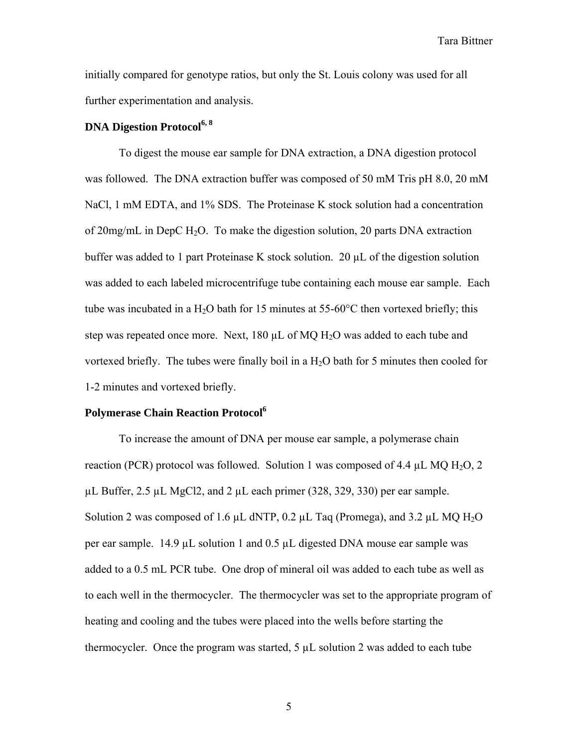initially compared for genotype ratios, but only the St. Louis colony was used for all further experimentation and analysis.

## **DNA Digestion Protocol6, 8**

 To digest the mouse ear sample for DNA extraction, a DNA digestion protocol was followed. The DNA extraction buffer was composed of 50 mM Tris pH 8.0, 20 mM NaCl, 1 mM EDTA, and 1% SDS. The Proteinase K stock solution had a concentration of  $20$ mg/mL in DepC H<sub>2</sub>O. To make the digestion solution, 20 parts DNA extraction buffer was added to 1 part Proteinase K stock solution. 20 µL of the digestion solution was added to each labeled microcentrifuge tube containing each mouse ear sample. Each tube was incubated in a H<sub>2</sub>O bath for 15 minutes at 55-60 $\degree$ C then vortexed briefly; this step was repeated once more. Next,  $180 \mu L$  of MQ H<sub>2</sub>O was added to each tube and vortexed briefly. The tubes were finally boil in a  $H_2O$  bath for 5 minutes then cooled for 1-2 minutes and vortexed briefly.

### **Polymerase Chain Reaction Protocol<sup>6</sup>**

 To increase the amount of DNA per mouse ear sample, a polymerase chain reaction (PCR) protocol was followed. Solution 1 was composed of 4.4  $\mu$ L MQ H<sub>2</sub>O, 2  $\mu$ L Buffer, 2.5  $\mu$ L MgCl2, and 2  $\mu$ L each primer (328, 329, 330) per ear sample. Solution 2 was composed of 1.6  $\mu$ L dNTP, 0.2  $\mu$ L Taq (Promega), and 3.2  $\mu$ L MQ H<sub>2</sub>O per ear sample. 14.9  $\mu$ L solution 1 and 0.5  $\mu$ L digested DNA mouse ear sample was added to a 0.5 mL PCR tube. One drop of mineral oil was added to each tube as well as to each well in the thermocycler. The thermocycler was set to the appropriate program of heating and cooling and the tubes were placed into the wells before starting the thermocycler. Once the program was started,  $5 \mu L$  solution 2 was added to each tube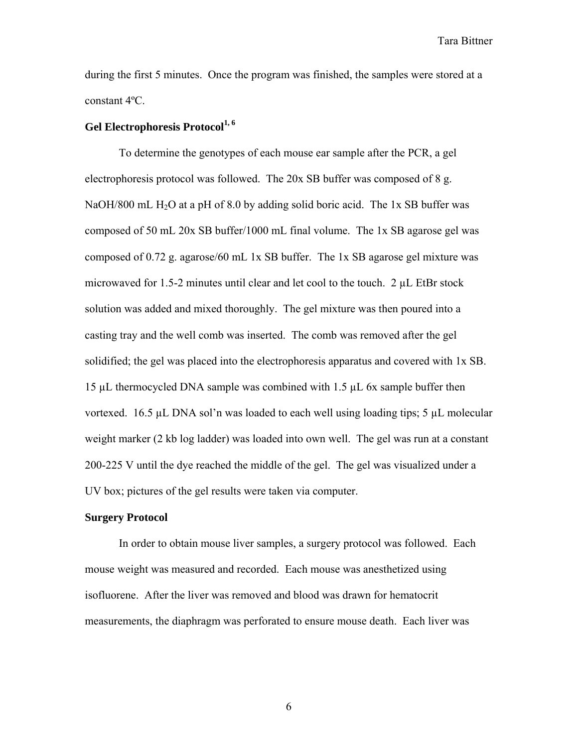during the first 5 minutes. Once the program was finished, the samples were stored at a constant 4ºC.

## Gel Electrophoresis Protocol<sup>1, 6</sup>

 To determine the genotypes of each mouse ear sample after the PCR, a gel electrophoresis protocol was followed. The 20x SB buffer was composed of 8 g. NaOH/800 mL H<sub>2</sub>O at a pH of 8.0 by adding solid boric acid. The 1x SB buffer was composed of 50 mL 20x SB buffer/1000 mL final volume. The 1x SB agarose gel was composed of 0.72 g. agarose/60 mL 1x SB buffer. The 1x SB agarose gel mixture was microwaved for 1.5-2 minutes until clear and let cool to the touch. 2 µL EtBr stock solution was added and mixed thoroughly. The gel mixture was then poured into a casting tray and the well comb was inserted. The comb was removed after the gel solidified; the gel was placed into the electrophoresis apparatus and covered with 1x SB. 15 µL thermocycled DNA sample was combined with 1.5 µL 6x sample buffer then vortexed. 16.5  $\mu$ L DNA sol'n was loaded to each well using loading tips; 5  $\mu$ L molecular weight marker (2 kb log ladder) was loaded into own well. The gel was run at a constant 200-225 V until the dye reached the middle of the gel. The gel was visualized under a UV box; pictures of the gel results were taken via computer.

#### **Surgery Protocol**

 In order to obtain mouse liver samples, a surgery protocol was followed. Each mouse weight was measured and recorded. Each mouse was anesthetized using isofluorene. After the liver was removed and blood was drawn for hematocrit measurements, the diaphragm was perforated to ensure mouse death. Each liver was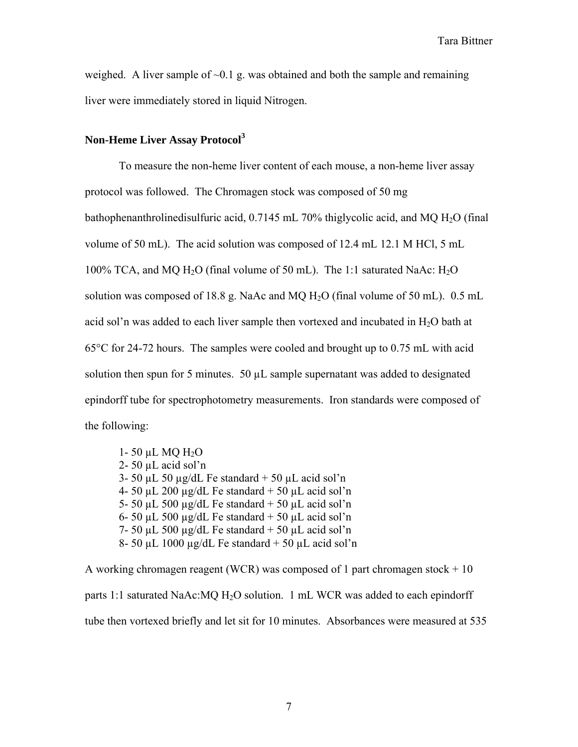weighed. A liver sample of  $\sim 0.1$  g. was obtained and both the sample and remaining liver were immediately stored in liquid Nitrogen.

## **Non-Heme Liver Assay Protocol<sup>3</sup>**

 To measure the non-heme liver content of each mouse, a non-heme liver assay protocol was followed. The Chromagen stock was composed of 50 mg bathophenanthrolinedisulfuric acid,  $0.7145$  mL 70% thiglycolic acid, and MQ H<sub>2</sub>O (final volume of 50 mL). The acid solution was composed of 12.4 mL 12.1 M HCl, 5 mL 100% TCA, and MQ  $H_2O$  (final volume of 50 mL). The 1:1 saturated NaAc:  $H_2O$ solution was composed of 18.8 g. NaAc and MQ  $H<sub>2</sub>O$  (final volume of 50 mL). 0.5 mL acid sol'n was added to each liver sample then vortexed and incubated in  $H_2O$  bath at 65°C for 24-72 hours. The samples were cooled and brought up to 0.75 mL with acid solution then spun for 5 minutes.  $50 \mu L$  sample supernatant was added to designated epindorff tube for spectrophotometry measurements. Iron standards were composed of the following:

1- 50  $\mu$ L MQ H<sub>2</sub>O 2- 50 µL acid sol'n 3- 50  $\mu$ L 50  $\mu$ g/dL Fe standard + 50  $\mu$ L acid sol'n 4- 50  $\mu$ L 200  $\mu$ g/dL Fe standard + 50  $\mu$ L acid sol'n 5- 50 µL 500 µg/dL Fe standard  $+$  50 µL acid sol'n 6- 50 µL 500 µg/dL Fe standard  $+$  50 µL acid sol'n 7- 50  $\mu$ L 500  $\mu$ g/dL Fe standard + 50  $\mu$ L acid sol'n 8- 50 µL 1000 µg/dL Fe standard  $+$  50 µL acid sol'n

A working chromagen reagent (WCR) was composed of 1 part chromagen stock  $+10$ parts 1:1 saturated NaAc:MQ  $H_2O$  solution. 1 mL WCR was added to each epindorff tube then vortexed briefly and let sit for 10 minutes. Absorbances were measured at 535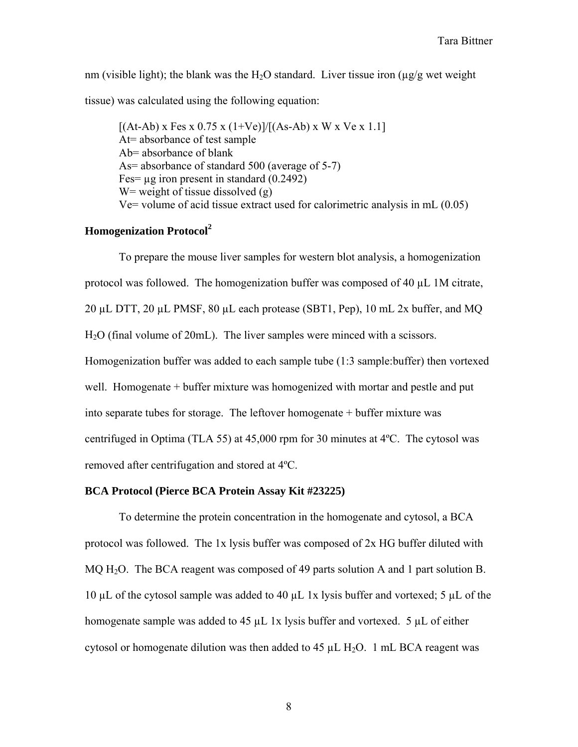nm (visible light); the blank was the H<sub>2</sub>O standard. Liver tissue iron ( $\mu$ g/g wet weight tissue) was calculated using the following equation:

 $[(At-Ab) \times Fes \times 0.75 \times (1+Ve)]/[(As-Ab) \times W \times Ve \times 1.1]$  At= absorbance of test sample Ab= absorbance of blank As= absorbance of standard 500 (average of 5-7) Fes=  $\mu$ g iron present in standard (0.2492) W = weight of tissue dissolved  $(g)$ Ve= volume of acid tissue extract used for calorimetric analysis in mL (0.05)

# **Homogenization Protocol<sup>2</sup>**

 To prepare the mouse liver samples for western blot analysis, a homogenization protocol was followed. The homogenization buffer was composed of 40 µL 1M citrate, 20 µL DTT, 20 µL PMSF, 80 µL each protease (SBT1, Pep), 10 mL 2x buffer, and MQ H2O (final volume of 20mL). The liver samples were minced with a scissors. Homogenization buffer was added to each sample tube (1:3 sample:buffer) then vortexed well. Homogenate + buffer mixture was homogenized with mortar and pestle and put into separate tubes for storage. The leftover homogenate + buffer mixture was centrifuged in Optima (TLA 55) at 45,000 rpm for 30 minutes at 4ºC. The cytosol was removed after centrifugation and stored at 4ºC.

### **BCA Protocol (Pierce BCA Protein Assay Kit #23225)**

 To determine the protein concentration in the homogenate and cytosol, a BCA protocol was followed. The 1x lysis buffer was composed of 2x HG buffer diluted with MQ H<sub>2</sub>O. The BCA reagent was composed of 49 parts solution A and 1 part solution B. 10 µL of the cytosol sample was added to 40 µL 1x lysis buffer and vortexed; 5 µL of the homogenate sample was added to 45  $\mu$ L 1x lysis buffer and vortexed. 5  $\mu$ L of either cytosol or homogenate dilution was then added to 45  $\mu$ L H<sub>2</sub>O. 1 mL BCA reagent was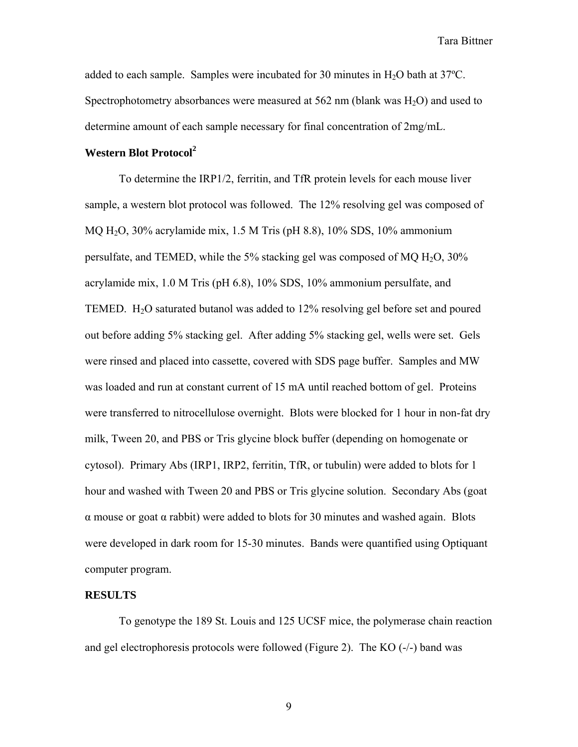added to each sample. Samples were incubated for 30 minutes in  $H_2O$  bath at 37 $^{\circ}$ C. Spectrophotometry absorbances were measured at  $562 \text{ nm}$  (blank was  $H_2O$ ) and used to determine amount of each sample necessary for final concentration of 2mg/mL.

# **Western Blot Protocol<sup>2</sup>**

 To determine the IRP1/2, ferritin, and TfR protein levels for each mouse liver sample, a western blot protocol was followed. The 12% resolving gel was composed of MQ H2O, 30% acrylamide mix, 1.5 M Tris (pH 8.8), 10% SDS, 10% ammonium persulfate, and TEMED, while the 5% stacking gel was composed of MQ  $H_2O$ , 30% acrylamide mix, 1.0 M Tris (pH 6.8), 10% SDS, 10% ammonium persulfate, and TEMED. H2O saturated butanol was added to 12% resolving gel before set and poured out before adding 5% stacking gel. After adding 5% stacking gel, wells were set. Gels were rinsed and placed into cassette, covered with SDS page buffer. Samples and MW was loaded and run at constant current of 15 mA until reached bottom of gel. Proteins were transferred to nitrocellulose overnight. Blots were blocked for 1 hour in non-fat dry milk, Tween 20, and PBS or Tris glycine block buffer (depending on homogenate or cytosol). Primary Abs (IRP1, IRP2, ferritin, TfR, or tubulin) were added to blots for 1 hour and washed with Tween 20 and PBS or Tris glycine solution. Secondary Abs (goat α mouse or goat α rabbit) were added to blots for 30 minutes and washed again. Blots were developed in dark room for 15-30 minutes. Bands were quantified using Optiquant computer program.

#### **RESULTS**

 To genotype the 189 St. Louis and 125 UCSF mice, the polymerase chain reaction and gel electrophoresis protocols were followed (Figure 2). The KO (-/-) band was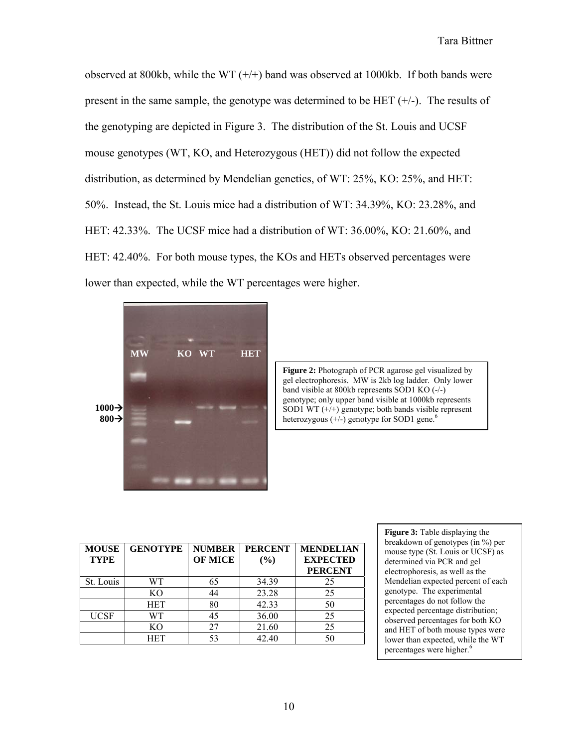observed at 800kb, while the WT  $(+/+)$  band was observed at 1000kb. If both bands were present in the same sample, the genotype was determined to be  $HET$  (+/-). The results of the genotyping are depicted in Figure 3. The distribution of the St. Louis and UCSF mouse genotypes (WT, KO, and Heterozygous (HET)) did not follow the expected distribution, as determined by Mendelian genetics, of WT: 25%, KO: 25%, and HET: 50%. Instead, the St. Louis mice had a distribution of WT: 34.39%, KO: 23.28%, and HET: 42.33%. The UCSF mice had a distribution of WT: 36.00%, KO: 21.60%, and HET: 42.40%. For both mouse types, the KOs and HETs observed percentages were lower than expected, while the WT percentages were higher.



**Figure 2:** Photograph of PCR agarose gel visualized by gel electrophoresis. MW is 2kb log ladder. Only lower band visible at 800kb represents SOD1 KO (-/-) genotype; only upper band visible at 1000kb represents SOD1 WT  $(+/+)$  genotype; both bands visible represent heterozygous (+/-) genotype for SOD1 gene.<sup>6</sup>

| <b>MOUSE</b><br><b>TYPE</b> | <b>GENOTYPE</b> | <b>NUMBER</b><br><b>OF MICE</b> | <b>PERCENT</b><br>$($ %) | <b>MENDELIAN</b><br><b>EXPECTED</b><br><b>PERCENT</b> |
|-----------------------------|-----------------|---------------------------------|--------------------------|-------------------------------------------------------|
| St. Louis                   | WТ              | 65                              | 34.39                    | 25                                                    |
|                             | K <sub>O</sub>  |                                 | 23.28                    | 25                                                    |
|                             | <b>HET</b>      | 80                              | 42.33                    | 50                                                    |
| <b>UCSF</b>                 | WТ              |                                 | 36.00                    | 25                                                    |
|                             | KО              |                                 | 21.60                    | 25                                                    |
|                             | HET             | 53                              | 42.40                    |                                                       |

**Figure 3:** Table displaying the breakdown of genotypes (in %) per mouse type (St. Louis or UCSF) as determined via PCR and gel electrophoresis, as well as the Mendelian expected percent of each genotype. The experimental percentages do not follow the expected percentage distribution; observed percentages for both KO and HET of both mouse types were lower than expected, while the WT percentages were higher.<sup>6</sup>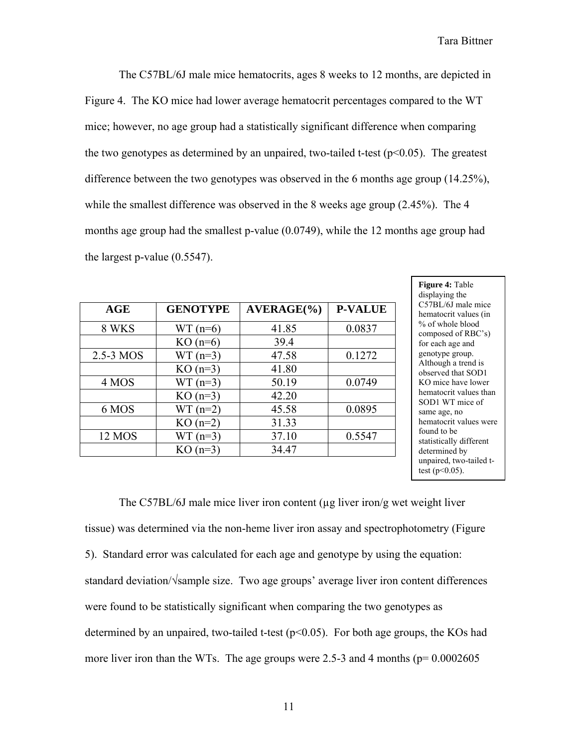The C57BL/6J male mice hematocrits, ages 8 weeks to 12 months, are depicted in Figure 4. The KO mice had lower average hematocrit percentages compared to the WT mice; however, no age group had a statistically significant difference when comparing the two genotypes as determined by an unpaired, two-tailed t-test ( $p<0.05$ ). The greatest difference between the two genotypes was observed in the 6 months age group (14.25%), while the smallest difference was observed in the 8 weeks age group (2.45%). The 4 months age group had the smallest p-value (0.0749), while the 12 months age group had the largest p-value (0.5547).

| AGE       | <b>GENOTYPE</b> | $AVERAGE(\%)$ | <b>P-VALUE</b> |
|-----------|-----------------|---------------|----------------|
| 8 WKS     | $WT(n=6)$       | 41.85         | 0.0837         |
|           | $KO(n=6)$       | 39.4          |                |
| 2.5-3 MOS | $WT(n=3)$       | 47.58         | 0.1272         |
|           | $KO(n=3)$       | 41.80         |                |
| 4 MOS     | $WT(n=3)$       | 50.19         | 0.0749         |
|           | $KO(n=3)$       | 42.20         |                |
| 6 MOS     | $WT(n=2)$       | 45.58         | 0.0895         |
|           | $KO(n=2)$       | 31.33         |                |
| 12 MOS    | $WT(n=3)$       | 37.10         | 0.5547         |
|           | $KO(n=3)$       | 34.47         |                |

**Figure 4:** Table displaying the C57BL/6J male mice hematocrit values (in % of whole blood composed of RBC's) for each age and genotype group. Although a trend is observed that SOD1 KO mice have lower hematocrit values than SOD1 WT mice of same age, no hematocrit values were found to be statistically different determined by unpaired, two-tailed ttest ( $p<0.05$ ).

The C57BL/6J male mice liver iron content (µg liver iron/g wet weight liver tissue) was determined via the non-heme liver iron assay and spectrophotometry (Figure 5). Standard error was calculated for each age and genotype by using the equation: standard deviation/√sample size. Two age groups' average liver iron content differences were found to be statistically significant when comparing the two genotypes as determined by an unpaired, two-tailed t-test  $(p<0.05)$ . For both age groups, the KOs had more liver iron than the WTs. The age groups were 2.5-3 and 4 months ( $p= 0.0002605$ )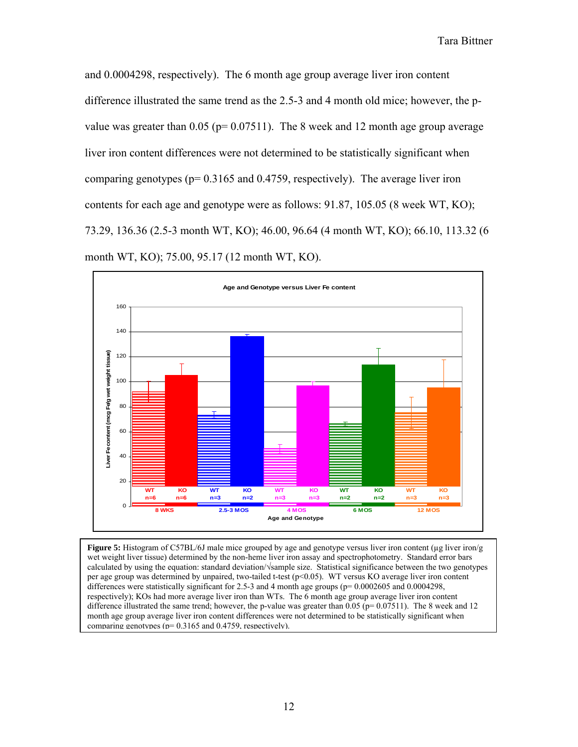and 0.0004298, respectively). The 6 month age group average liver iron content difference illustrated the same trend as the 2.5-3 and 4 month old mice; however, the pvalue was greater than  $0.05$  (p=  $0.07511$ ). The 8 week and 12 month age group average liver iron content differences were not determined to be statistically significant when comparing genotypes ( $p= 0.3165$  and 0.4759, respectively). The average liver iron contents for each age and genotype were as follows: 91.87, 105.05 (8 week WT, KO); 73.29, 136.36 (2.5-3 month WT, KO); 46.00, 96.64 (4 month WT, KO); 66.10, 113.32 (6 month WT, KO); 75.00, 95.17 (12 month WT, KO).



**Figure 5:** Histogram of C57BL/6J male mice grouped by age and genotype versus liver iron content (µg liver iron/g wet weight liver tissue) determined by the non-heme liver iron assay and spectrophotometry. Standard error bars calculated by using the equation: standard deviation/√sample size. Statistical significance between the two genotypes per age group was determined by unpaired, two-tailed t-test (p<0.05). WT versus KO average liver iron content differences were statistically significant for 2.5-3 and 4 month age groups ( $p= 0.0002605$  and 0.0004298, respectively); KOs had more average liver iron than WTs. The 6 month age group average liver iron content difference illustrated the same trend; however, the p-value was greater than 0.05 ( $p= 0.07511$ ). The 8 week and 12 month age group average liver iron content differences were not determined to be statistically significant when comparing genotypes (p= 0.3165 and 0.4759, respectively).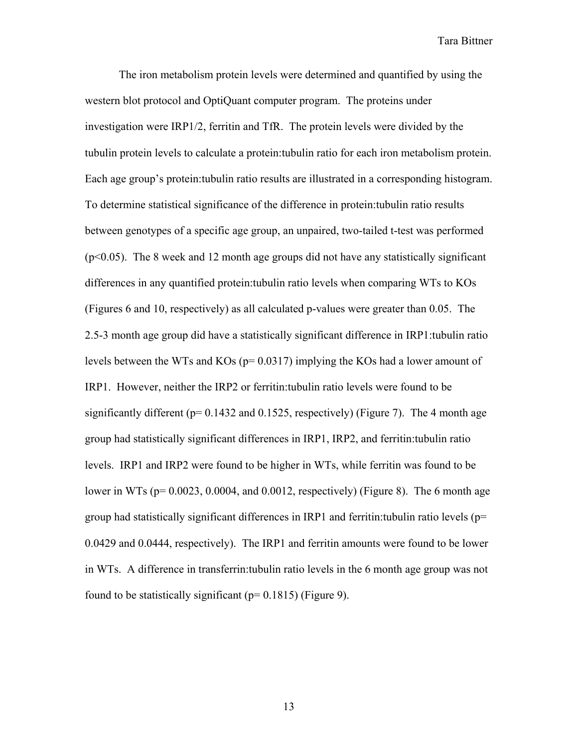The iron metabolism protein levels were determined and quantified by using the western blot protocol and OptiQuant computer program. The proteins under investigation were IRP1/2, ferritin and TfR. The protein levels were divided by the tubulin protein levels to calculate a protein:tubulin ratio for each iron metabolism protein. Each age group's protein:tubulin ratio results are illustrated in a corresponding histogram. To determine statistical significance of the difference in protein:tubulin ratio results between genotypes of a specific age group, an unpaired, two-tailed t-test was performed (p<0.05). The 8 week and 12 month age groups did not have any statistically significant differences in any quantified protein:tubulin ratio levels when comparing WTs to KOs (Figures 6 and 10, respectively) as all calculated p-values were greater than 0.05. The 2.5-3 month age group did have a statistically significant difference in IRP1:tubulin ratio levels between the WTs and KOs (p= 0.0317) implying the KOs had a lower amount of IRP1. However, neither the IRP2 or ferritin:tubulin ratio levels were found to be significantly different ( $p= 0.1432$  and 0.1525, respectively) (Figure 7). The 4 month age group had statistically significant differences in IRP1, IRP2, and ferritin:tubulin ratio levels. IRP1 and IRP2 were found to be higher in WTs, while ferritin was found to be lower in WTs ( $p= 0.0023$ , 0.0004, and 0.0012, respectively) (Figure 8). The 6 month age group had statistically significant differences in IRP1 and ferritin: tubulin ratio levels ( $p=$ 0.0429 and 0.0444, respectively). The IRP1 and ferritin amounts were found to be lower in WTs. A difference in transferrin:tubulin ratio levels in the 6 month age group was not found to be statistically significant ( $p= 0.1815$ ) (Figure 9).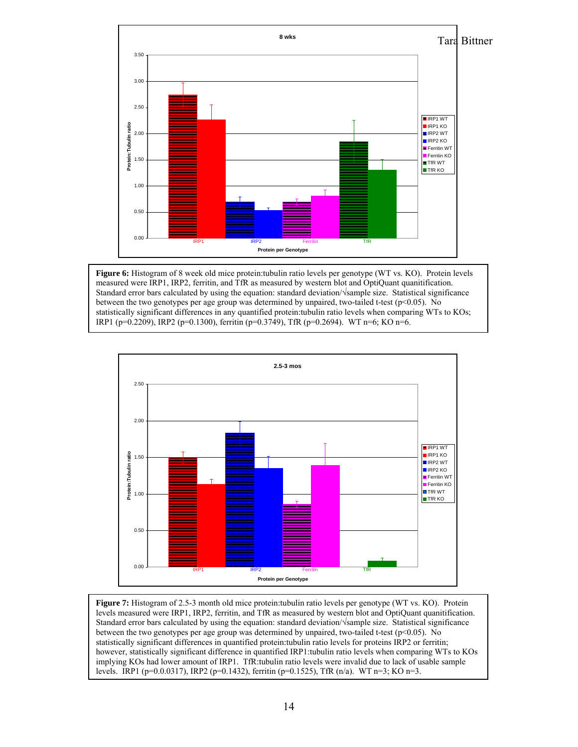

**Figure 6:** Histogram of 8 week old mice protein:tubulin ratio levels per genotype (WT vs. KO). Protein levels measured were IRP1, IRP2, ferritin, and TfR as measured by western blot and OptiQuant quanitification. Standard error bars calculated by using the equation: standard deviation/√sample size. Statistical significance between the two genotypes per age group was determined by unpaired, two-tailed t-test ( $p$ <0.05). No statistically significant differences in any quantified protein:tubulin ratio levels when comparing WTs to KOs; IRP1 (p=0.2209), IRP2 (p=0.1300), ferritin (p=0.3749), TfR (p=0.2694). WT n=6; KO n=6.



**Figure 7:** Histogram of 2.5-3 month old mice protein:tubulin ratio levels per genotype (WT vs. KO). Protein levels measured were IRP1, IRP2, ferritin, and TfR as measured by western blot and OptiQuant quanitification. Standard error bars calculated by using the equation: standard deviation/√sample size. Statistical significance between the two genotypes per age group was determined by unpaired, two-tailed t-test (p<0.05). No statistically significant differences in quantified protein:tubulin ratio levels for proteins IRP2 or ferritin; however, statistically significant difference in quantified IRP1:tubulin ratio levels when comparing WTs to KOs implying KOs had lower amount of IRP1. TfR:tubulin ratio levels were invalid due to lack of usable sample levels. IRP1 ( $p=0.00317$ ), IRP2 ( $p=0.1432$ ), ferritin ( $p=0.1525$ ), TfR ( $n/a$ ). WT  $n=3$ ; KO  $n=3$ .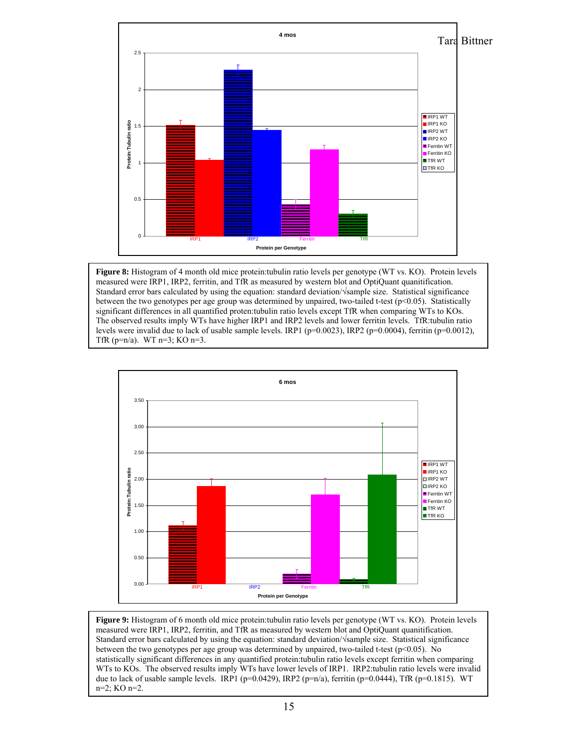

**Figure 8:** Histogram of 4 month old mice protein:tubulin ratio levels per genotype (WT vs. KO). Protein levels measured were IRP1, IRP2, ferritin, and TfR as measured by western blot and OptiQuant quanitification. Standard error bars calculated by using the equation: standard deviation/√sample size. Statistical significance between the two genotypes per age group was determined by unpaired, two-tailed t-test ( $p<0.05$ ). Statistically significant differences in all quantified proten:tubulin ratio levels except TfR when comparing WTs to KOs. The observed results imply WTs have higher IRP1 and IRP2 levels and lower ferritin levels. TfR:tubulin ratio levels were invalid due to lack of usable sample levels. IRP1 (p=0.0023), IRP2 (p=0.0004), ferritin (p=0.0012), TfR ( $p=n/a$ ). WT  $n=3$ ; KO  $n=3$ .



**Figure 9:** Histogram of 6 month old mice protein:tubulin ratio levels per genotype (WT vs. KO). Protein levels measured were IRP1, IRP2, ferritin, and TfR as measured by western blot and OptiQuant quanitification. Standard error bars calculated by using the equation: standard deviation/√sample size. Statistical significance between the two genotypes per age group was determined by unpaired, two-tailed t-test (p<0.05). No statistically significant differences in any quantified protein:tubulin ratio levels except ferritin when comparing WTs to KOs. The observed results imply WTs have lower levels of IRP1. IRP2:tubulin ratio levels were invalid due to lack of usable sample levels. IRP1 (p=0.0429), IRP2 (p=n/a), ferritin (p=0.0444), TfR (p=0.1815). WT n=2; KO n=2.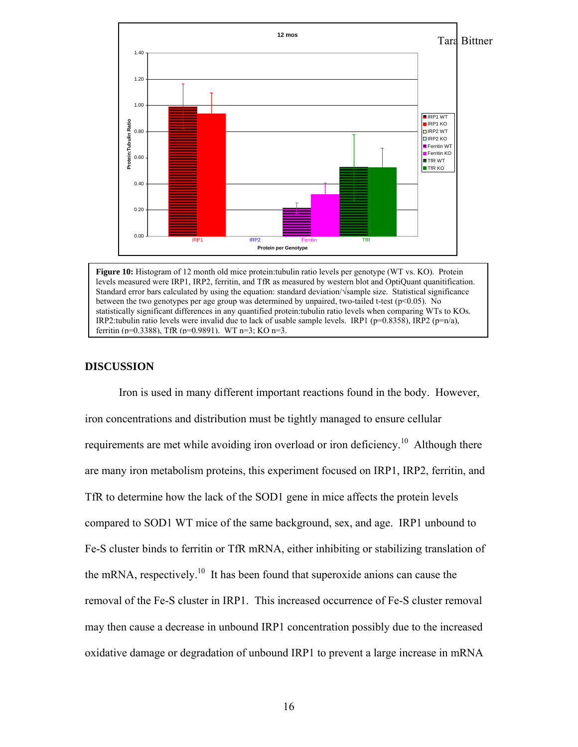

**Figure 10:** Histogram of 12 month old mice protein:tubulin ratio levels per genotype (WT vs. KO). Protein levels measured were IRP1, IRP2, ferritin, and TfR as measured by western blot and OptiQuant quanitification. Standard error bars calculated by using the equation: standard deviation/√sample size. Statistical significance between the two genotypes per age group was determined by unpaired, two-tailed t-test (p<0.05). No statistically significant differences in any quantified protein:tubulin ratio levels when comparing WTs to KOs. IRP2:tubulin ratio levels were invalid due to lack of usable sample levels. IRP1 (p=0.8358), IRP2 (p=n/a), ferritin (p=0.3388), TfR (p=0.9891). WT n=3; KO n=3.

#### **DISCUSSION**

 Iron is used in many different important reactions found in the body. However, iron concentrations and distribution must be tightly managed to ensure cellular requirements are met while avoiding iron overload or iron deficiency.<sup>10</sup> Although there are many iron metabolism proteins, this experiment focused on IRP1, IRP2, ferritin, and TfR to determine how the lack of the SOD1 gene in mice affects the protein levels compared to SOD1 WT mice of the same background, sex, and age. IRP1 unbound to Fe-S cluster binds to ferritin or TfR mRNA, either inhibiting or stabilizing translation of the mRNA, respectively.<sup>10</sup> It has been found that superoxide anions can cause the removal of the Fe-S cluster in IRP1. This increased occurrence of Fe-S cluster removal may then cause a decrease in unbound IRP1 concentration possibly due to the increased oxidative damage or degradation of unbound IRP1 to prevent a large increase in mRNA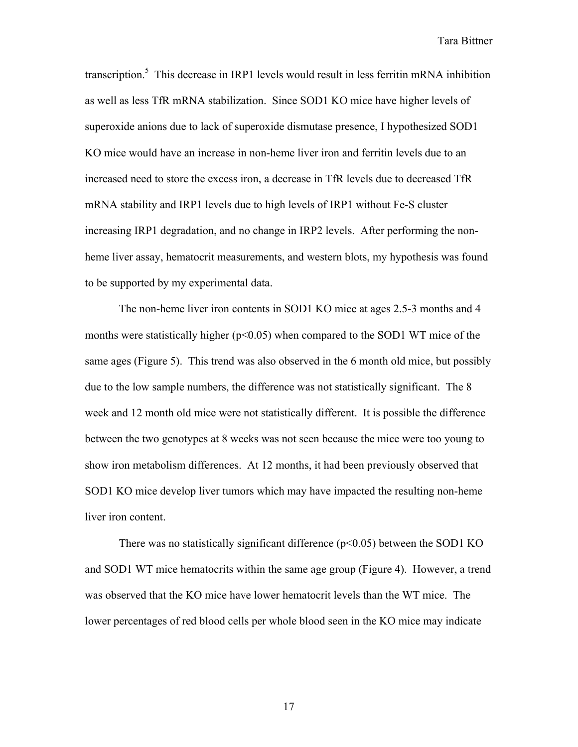transcription.<sup>5</sup> This decrease in IRP1 levels would result in less ferritin mRNA inhibition as well as less TfR mRNA stabilization. Since SOD1 KO mice have higher levels of superoxide anions due to lack of superoxide dismutase presence, I hypothesized SOD1 KO mice would have an increase in non-heme liver iron and ferritin levels due to an increased need to store the excess iron, a decrease in TfR levels due to decreased TfR mRNA stability and IRP1 levels due to high levels of IRP1 without Fe-S cluster increasing IRP1 degradation, and no change in IRP2 levels. After performing the nonheme liver assay, hematocrit measurements, and western blots, my hypothesis was found to be supported by my experimental data.

 The non-heme liver iron contents in SOD1 KO mice at ages 2.5-3 months and 4 months were statistically higher ( $p<0.05$ ) when compared to the SOD1 WT mice of the same ages (Figure 5). This trend was also observed in the 6 month old mice, but possibly due to the low sample numbers, the difference was not statistically significant. The 8 week and 12 month old mice were not statistically different. It is possible the difference between the two genotypes at 8 weeks was not seen because the mice were too young to show iron metabolism differences. At 12 months, it had been previously observed that SOD1 KO mice develop liver tumors which may have impacted the resulting non-heme liver iron content.

There was no statistically significant difference  $(p<0.05)$  between the SOD1 KO and SOD1 WT mice hematocrits within the same age group (Figure 4). However, a trend was observed that the KO mice have lower hematocrit levels than the WT mice. The lower percentages of red blood cells per whole blood seen in the KO mice may indicate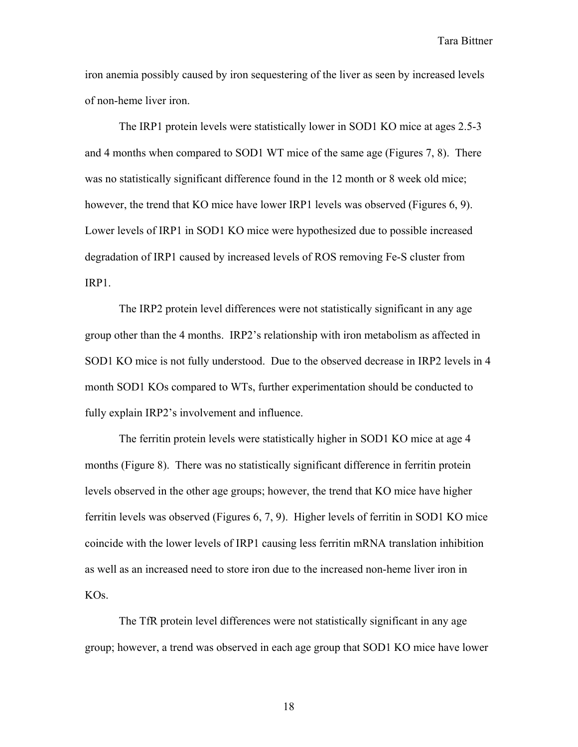iron anemia possibly caused by iron sequestering of the liver as seen by increased levels of non-heme liver iron.

 The IRP1 protein levels were statistically lower in SOD1 KO mice at ages 2.5-3 and 4 months when compared to SOD1 WT mice of the same age (Figures 7, 8). There was no statistically significant difference found in the 12 month or 8 week old mice; however, the trend that KO mice have lower IRP1 levels was observed (Figures 6, 9). Lower levels of IRP1 in SOD1 KO mice were hypothesized due to possible increased degradation of IRP1 caused by increased levels of ROS removing Fe-S cluster from IRP1.

 The IRP2 protein level differences were not statistically significant in any age group other than the 4 months. IRP2's relationship with iron metabolism as affected in SOD1 KO mice is not fully understood. Due to the observed decrease in IRP2 levels in 4 month SOD1 KOs compared to WTs, further experimentation should be conducted to fully explain IRP2's involvement and influence.

 The ferritin protein levels were statistically higher in SOD1 KO mice at age 4 months (Figure 8). There was no statistically significant difference in ferritin protein levels observed in the other age groups; however, the trend that KO mice have higher ferritin levels was observed (Figures 6, 7, 9). Higher levels of ferritin in SOD1 KO mice coincide with the lower levels of IRP1 causing less ferritin mRNA translation inhibition as well as an increased need to store iron due to the increased non-heme liver iron in KOs.

 The TfR protein level differences were not statistically significant in any age group; however, a trend was observed in each age group that SOD1 KO mice have lower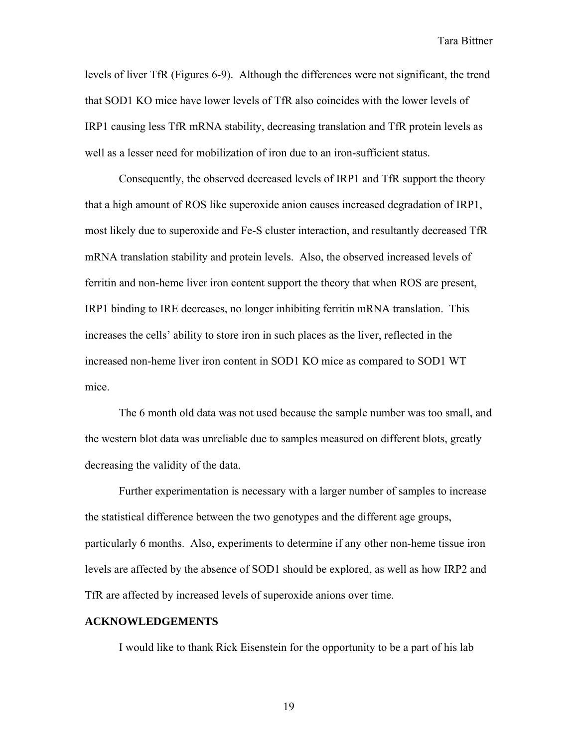levels of liver TfR (Figures 6-9). Although the differences were not significant, the trend that SOD1 KO mice have lower levels of TfR also coincides with the lower levels of IRP1 causing less TfR mRNA stability, decreasing translation and TfR protein levels as well as a lesser need for mobilization of iron due to an iron-sufficient status.

 Consequently, the observed decreased levels of IRP1 and TfR support the theory that a high amount of ROS like superoxide anion causes increased degradation of IRP1, most likely due to superoxide and Fe-S cluster interaction, and resultantly decreased TfR mRNA translation stability and protein levels. Also, the observed increased levels of ferritin and non-heme liver iron content support the theory that when ROS are present, IRP1 binding to IRE decreases, no longer inhibiting ferritin mRNA translation. This increases the cells' ability to store iron in such places as the liver, reflected in the increased non-heme liver iron content in SOD1 KO mice as compared to SOD1 WT mice.

 The 6 month old data was not used because the sample number was too small, and the western blot data was unreliable due to samples measured on different blots, greatly decreasing the validity of the data.

 Further experimentation is necessary with a larger number of samples to increase the statistical difference between the two genotypes and the different age groups, particularly 6 months. Also, experiments to determine if any other non-heme tissue iron levels are affected by the absence of SOD1 should be explored, as well as how IRP2 and TfR are affected by increased levels of superoxide anions over time.

#### **ACKNOWLEDGEMENTS**

I would like to thank Rick Eisenstein for the opportunity to be a part of his lab